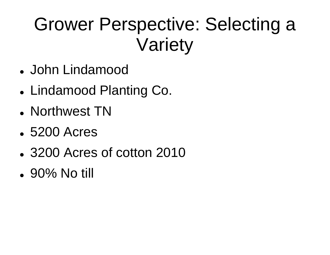# Grower Perspective: Selecting a Variety

- John Lindamood
- Lindamood Planting Co.
- Northwest TN
- 5200 Acres
- 3200 Acres of cotton 2010
- $\cdot$  90% No till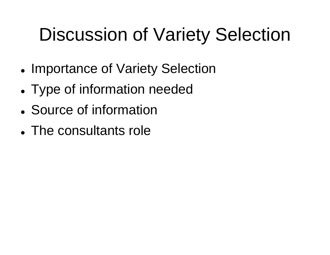# **Discussion of Variety Selection**

- Importance of Variety Selection
- Type of information needed
- Source of information
- The consultants role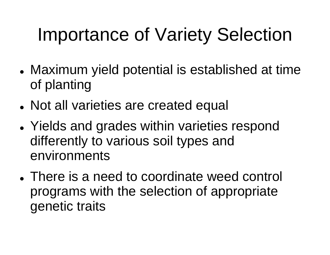# Importance of Variety Selection

- Maximum yield potential is established at time of planting
- Not all varieties are created equal
- $\bullet$ • Yields and grades within varieties respond differently to various soil types and environments
- There is a need to coordinate weed control programs with the selection of appropriate genetic traits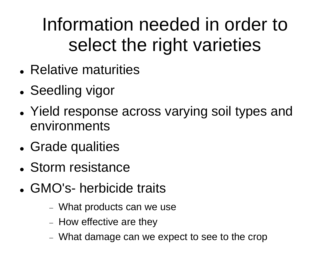# Information needed in order to select the right varieties

- Relative maturities
- $\bullet$ • Seedling vigor
- Yield response across varying soil types and environments
- Grade qualities
- Storm resistance
- GMO's- herbicide traits
	- What products can we u suse
	- $-$  How effective are they
	- What damage can we expect to see to the crop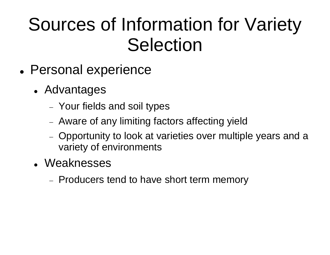#### Sources of Information for Variety **Selection**

- Personal experience
	- Advantages
		- Your fields and soil types
		- Aware of any limiting factors affecting yield
		- Opportunity to look at varieties over multiple years and a variety of environments
	- Weaknesses
		- Producers tend to have short term memory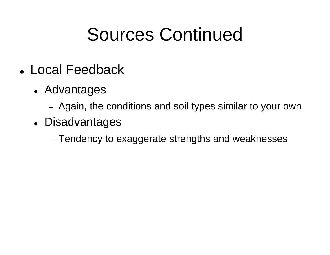### Sources Continued

- Local Feedback
	- Advantages
		- Again, the conditions an d soil types similar to your own
	- Disadvantages
		- Tendency to exaggerate strengths and weaknesses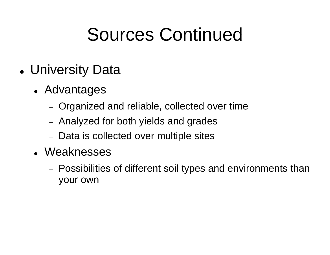# Sources Continued

- University Data
	- Advantages
		- Organized and reliable, collected over time
		- Analyzed for both yields and grades
		- Data is collected over multiple sites
	- Weaknesses
		- Possibilities of different soil types and environments than your own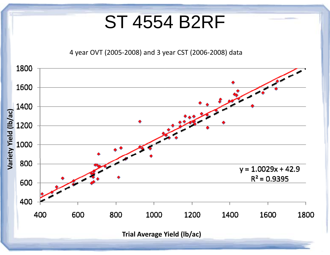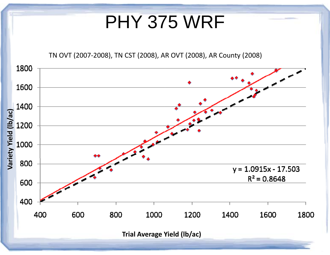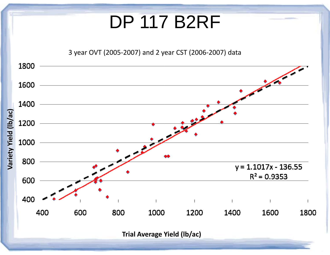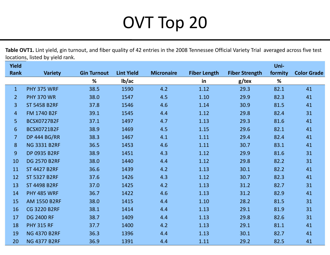#### OVT T Top 20

**Table OVT1.** Lint yield, gin turnout, and fiber quality of 42 entries in the 2008 Tennessee Official Variety Trial averaged across five test locations, listed by yield rank.

| <b>Yield</b>   |                     |                    |                   |                   |                     |                       | Uni-    |                    |
|----------------|---------------------|--------------------|-------------------|-------------------|---------------------|-----------------------|---------|--------------------|
| <b>Rank</b>    | <b>Variety</b>      | <b>Gin Turnout</b> | <b>Lint Yield</b> | <b>Micronaire</b> | <b>Fiber Length</b> | <b>Fiber Strength</b> | formity | <b>Color Grade</b> |
|                |                     | %                  | lb/ac             |                   | in                  | $g$ /tex              | %       |                    |
| $\mathbf{1}$   | PHY 375 WRF         | 38.5               | 1590              | 4.2               | 1.12                | 29.3                  | 82.1    | 41                 |
| $\overline{2}$ | <b>PHY 370 WR</b>   | 38.0               | 1547              | 4.5               | 1.10                | 29.9                  | 82.3    | 41                 |
| 3              | <b>ST 5458 B2RF</b> | 37.8               | 1546              | 4.6               | 1.14                | 30.9                  | 81.5    | 41                 |
| $\overline{4}$ | FM 1740 B2F         | 39.1               | 1545              | 4.4               | 1.12                | 29.8                  | 82.4    | 31                 |
| 5              | <b>BCSX0727B2F</b>  | 37.1               | 1497              | 4.7               | 1.13                | 29.3                  | 81.6    | 41                 |
| 6              | <b>BCSX0721B2F</b>  | 38.9               | 1469              | 4.5               | 1.15                | 29.6                  | 82.1    | 41                 |
| $\overline{7}$ | <b>DP 444 BG/RR</b> | 38.3               | 1467              | 4.1               | 1.11                | 29.4                  | 82.4    | 41                 |
| 8              | <b>NG 3331 B2RF</b> | 36.5               | 1453              | 4.6               | 1.11                | 30.7                  | 83.1    | 41                 |
| 9              | <b>DP 0935 B2RF</b> | 38.9               | 1451              | 4.3               | 1.12                | 29.9                  | 81.6    | 31                 |
| 10             | <b>DG 2570 B2RF</b> | 38.0               | 1440              | 4.4               | 1.12                | 29.8                  | 82.2    | 31                 |
| 11             | <b>ST 4427 B2RF</b> | 36.6               | 1439              | 4.2               | 1.13                | 30.1                  | 82.2    | 41                 |
| 12             | <b>ST 5327 B2RF</b> | 37.6               | 1426              | 4.3               | 1.12                | 30.7                  | 82.3    | 41                 |
| 13             | <b>ST 4498 B2RF</b> | 37.0               | 1425              | 4.2               | 1.13                | 31.2                  | 82.7    | 31                 |
| 14             | <b>PHY 485 WRF</b>  | 36.7               | 1422              | 4.6               | 1.13                | 31.2                  | 82.9    | 41                 |
| 15             | <b>AM 1550 B2RF</b> | 38.0               | 1415              | 4.4               | 1.10                | 28.2                  | 81.5    | 31                 |
| 16             | <b>CG 3220 B2RF</b> | 38.1               | 1414              | 4.4               | 1.13                | 29.1                  | 81.9    | 31                 |
| 17             | <b>DG 2400 RF</b>   | 38.7               | 1409              | 4.4               | 1.13                | 29.8                  | 82.6    | 31                 |
| 18             | <b>PHY 315 RF</b>   | 37.7               | 1400              | 4.2               | 1.13                | 29.1                  | 81.1    | 41                 |
| 19             | <b>NG 4370 B2RF</b> | 36.3               | 1396              | 4.4               | 1.13                | 30.1                  | 82.7    | 41                 |
| 20             | <b>NG 4377 B2RF</b> | 36.9               | 1391              | 4.4               | 1.11                | 29.2                  | 82.5    | 41                 |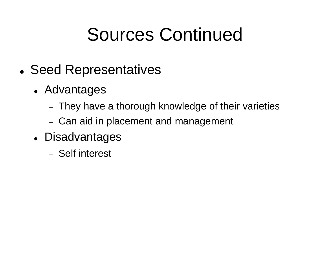# Sources Continued

- Seed Representatives
	- Advantages
		- $\overline{-}$  They have a thorough knowledge of their varieties
		- $-$  Can aid in placement and management
	- Disadvantages
		- Self interest